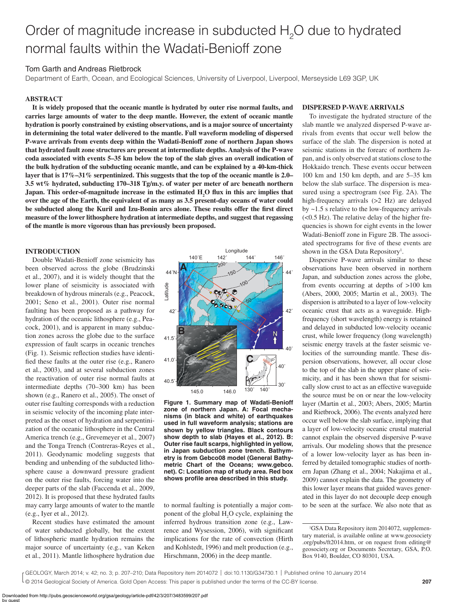# Order of magnitude increase in subducted H<sub>2</sub>O due to hydrated normal faults within the Wadati-Benioff zone

# Tom Garth and Andreas Rietbrock

Department of Earth, Ocean, and Ecological Sciences, University of Liverpool, Liverpool, Merseyside L69 3GP, UK

#### **ABSTRACT**

**It is widely proposed that the oceanic mantle is hydrated by outer rise normal faults, and carries large amounts of water to the deep mantle. However, the extent of oceanic mantle hydration is poorly constrained by existing observations, and is a major source of uncertainty in determining the total water delivered to the mantle. Full waveform modeling of dispersed P-wave arrivals from events deep within the Wadati-Benioff zone of northern Japan shows that hydrated fault zone structures are present at intermediate depths. Analysis of the P-wave coda associated with events 5–35 km below the top of the slab gives an overall indication of the bulk hydration of the subducting oceanic mantle, and can be explained by a 40-km-thick layer that is 17%–31% serpentinized. This suggests that the top of the oceanic mantle is 2.0– 3.5 wt% hydrated, subducting 170–318 Tg/m.y. of water per meter of arc beneath northern**  Japan. This order-of-magnitude increase in the estimated H<sub>2</sub>O flux in this arc implies that **over the age of the Earth, the equivalent of as many as 3.5 present-day oceans of water could**  be subducted along the Kuril and Izu-Bonin arcs alone. These results offer the first direct **measure of the lower lithosphere hydration at intermediate depths, and suggest that regassing of the mantle is more vigorous than has previously been proposed.**

### **INTRODUCTION**

Double Wadati-Benioff zone seismicity has been observed across the globe (Brudzinski et al., 2007), and it is widely thought that the lower plane of seismicity is associated with breakdown of hydrous minerals (e.g., Peacock, 2001; Seno et al., 2001). Outer rise normal faulting has been proposed as a pathway for hydration of the oceanic lithosphere (e.g., Peacock, 2001), and is apparent in many subduction zones across the globe due to the surface expression of fault scarps in oceanic trenches (Fig. 1). Seismic reflection studies have identified these faults at the outer rise (e.g., Ranero et al., 2003), and at several subduction zones the reactivation of outer rise normal faults at intermediate depths (70–300 km) has been shown (e.g., Ranero et al., 2005). The onset of outer rise faulting corresponds with a reduction in seismic velocity of the incoming plate interpreted as the onset of hydration and serpentinization of the oceanic lithosphere in the Central America trench (e.g., Grevemeyer et al., 2007) and the Tonga Trench (Contreras-Reyes et al., 2011). Geodynamic modeling suggests that bending and unbending of the subducted lithosphere cause a downward pressure gradient on the outer rise faults, forcing water into the deeper parts of the slab (Faccenda et al., 2009, 2012). It is proposed that these hydrated faults may carry large amounts of water to the mantle (e.g., Iyer et al., 2012).

Recent studies have estimated the amount of water subducted globally, but the extent of lithospheric mantle hydration remains the major source of uncertainty (e.g., van Keken et al., 2011). Mantle lithosphere hydration due



**Figure 1. Summary map of Wadati-Benioff zone of northern Japan. A: Focal mechanisms (in black and white) of earthquakes used in full waveform analysis; stations are shown by yellow triangles. Black contours show depth to slab (Hayes et al., 2012). B: Outer rise fault scarps, highlighted in yellow, in Japan subduction zone trench. Bathymetry is from Gebco08 model (General Bathymetric Chart of the Oceans; www.gebco. net). C: Location map of study area. Red box**  shows profile area described in this study.

to normal faulting is potentially a major component of the global  $H_2O$  cycle, explaining the inferred hydrous transition zone (e.g., Lawrence and Wysession, 2006), with significant implications for the rate of convection (Hirth and Kohlstedt, 1996) and melt production (e.g., Hirschmann, 2006) in the deep mantle.

## **DISPERSED P-WAVE ARRIVALS**

To investigate the hydrated structure of the slab mantle we analyzed dispersed P-wave arrivals from events that occur well below the surface of the slab. The dispersion is noted at seismic stations in the forearc of northern Japan, and is only observed at stations close to the Hokkaido trench. These events occur between 100 km and 150 km depth, and are 5–35 km below the slab surface. The dispersion is measured using a spectrogram (see Fig. 2A). The high-frequency arrivals (>2 Hz) are delayed by ~1.5 s relative to the low-frequency arrivals (<0.5 Hz). The relative delay of the higher frequencies is shown for eight events in the lower Wadati-Benioff zone in Figure 2B. The associated spectrograms for five of these events are shown in the GSA Data Repository<sup>1</sup>.

Dispersive P-wave arrivals similar to these observations have been observed in northern Japan, and subduction zones across the globe, from events occurring at depths of >100 km (Abers, 2000, 2005; Martin et al., 2003). The dispersion is attributed to a layer of low-velocity oceanic crust that acts as a waveguide. Highfrequency (short wavelength) energy is retained and delayed in subducted low-velocity oceanic crust, while lower frequency (long wavelength) seismic energy travels at the faster seismic velocities of the surrounding mantle. These dispersion observations, however, all occur close to the top of the slab in the upper plane of seismicity, and it has been shown that for seismically slow crust to act as an effective waveguide the source must be on or near the low-velocity layer (Martin et al., 2003; Abers, 2005; Martin and Rietbrock, 2006). The events analyzed here occur well below the slab surface, implying that a layer of low-velocity oceanic crustal material cannot explain the observed dispersive P-wave arrivals. Our modeling shows that the presence of a lower low-velocity layer as has been inferred by detailed tomographic studies of northern Japan (Zhang et al., 2004; Nakajima et al., 2009) cannot explain the data. The geometry of this lower layer means that guided waves generated in this layer do not decouple deep enough to be seen at the surface. We also note that as

© 2014 Geological Society of America. Gold Open Access: This paper is published under the terms of the CC-BY license. GEOLOGY, March 2014; v. 42; no. 3; p. 207–210; Data Repository item 2014072 | doi:10.1130/G34730.1 | Published online 10 January 2014

<sup>1</sup> GSA Data Repository item 2014072, supplementary material, is available online at www.geosociety .org/pubs/ft2014.htm, or on request from editing@ geosociety.org or Documents Secretary, GSA, P.O. Box 9140, Boulder, CO 80301, USA.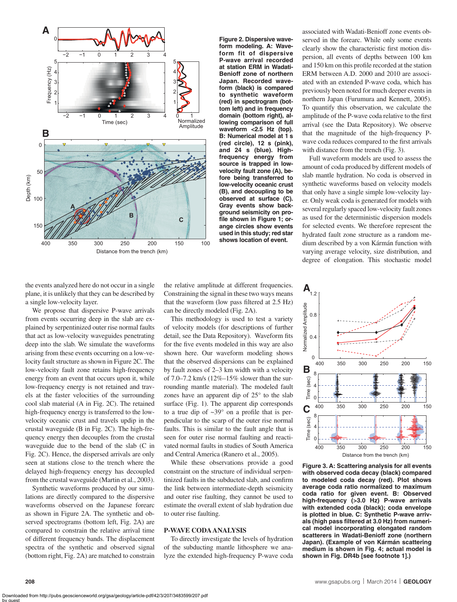

**Figure 2. Dispersive waveform modeling. A: Waveform fit of dispersive P-wave arrival recorded at station ERM in Wadati-Benioff zone of northern Japan. Recorded waveform (black) is compared to synthetic waveform (red) in spectrogram (bottom left) and in frequency domain (bottom right), allowing comparison of full waveform <2.5 Hz (top). B: Numerical model at 1 s (red circle), 12 s (pink), and 24 s (blue). Highfrequency energy from source is trapped in lowvelocity fault zone (A), before being transferred to low-velocity oceanic crust (B), and decoupling to be observed at surface (C). Gray events show background seismicity on pro**file shown in Figure 1; or**ange circles show events used in this study; red star shows location of event.**

associated with Wadati-Benioff zone events observed in the forearc. While only some events clearly show the characteristic first motion dispersion, all events of depths between 100 km and 150 km on this profile recorded at the station ERM between A.D. 2000 and 2010 are associated with an extended P-wave coda, which has previously been noted for much deeper events in northern Japan (Furumura and Kennett, 2005). To quantify this observation, we calculate the amplitude of the P-wave coda relative to the first arrival (see the Data Repository). We observe that the magnitude of the high-frequency Pwave coda reduces compared to the first arrivals with distance from the trench (Fig. 3).

Full waveform models are used to assess the amount of coda produced by different models of slab mantle hydration. No coda is observed in synthetic waveforms based on velocity models that only have a single simple low-velocity layer. Only weak coda is generated for models with several regularly spaced low-velocity fault zones as used for the deterministic dispersion models for selected events. We therefore represent the hydrated fault zone structure as a random medium described by a von Kármán function with varying average velocity, size distribution, and degree of elongation. This stochastic model

the events analyzed here do not occur in a single plane, it is unlikely that they can be described by a single low-velocity layer.

We propose that dispersive P-wave arrivals from events occurring deep in the slab are explained by serpentinized outer rise normal faults that act as low-velocity waveguides penetrating deep into the slab. We simulate the waveforms arising from these events occurring on a low-velocity fault structure as shown in Figure 2C. The low-velocity fault zone retains high-frequency energy from an event that occurs upon it, while low-frequency energy is not retained and travels at the faster velocities of the surrounding cool slab material (A in Fig. 2C). The retained high-frequency energy is transferred to the lowvelocity oceanic crust and travels updip in the crustal waveguide (B in Fig. 2C). The high-frequency energy then decouples from the crustal waveguide due to the bend of the slab (C in Fig. 2C). Hence, the dispersed arrivals are only seen at stations close to the trench where the delayed high-frequency energy has decoupled from the crustal waveguide (Martin et al., 2003).

Synthetic waveforms produced by our simulations are directly compared to the dispersive waveforms observed on the Japanese forearc as shown in Figure 2A. The synthetic and observed spectrograms (bottom left, Fig. 2A) are compared to constrain the relative arrival time of different frequency bands. The displacement spectra of the synthetic and observed signal (bottom right, Fig. 2A) are matched to constrain

by guest

the relative amplitude at different frequencies. Constraining the signal in these two ways means that the waveform (low pass filtered at  $2.5$  Hz) can be directly modeled (Fig. 2A).

This methodology is used to test a variety of velocity models (for descriptions of further detail, see the Data Repository). Waveform fits for the five events modeled in this way are also shown here. Our waveform modeling shows that the observed dispersions can be explained by fault zones of 2–3 km width with a velocity of 7.0–7.2 km/s (12%–15% slower than the surrounding mantle material). The modeled fault zones have an apparent dip of 25° to the slab surface (Fig. 1). The apparent dip corresponds to a true dip of  $\sim 39^\circ$  on a profile that is perpendicular to the scarp of the outer rise normal faults. This is similar to the fault angle that is seen for outer rise normal faulting and reactivated normal faults in studies of South America and Central America (Ranero et al., 2005).

While these observations provide a good constraint on the structure of individual serpentinized faults in the subducted slab, and confirm the link between intermediate-depth seismicity and outer rise faulting, they cannot be used to estimate the overall extent of slab hydration due to outer rise faulting.

#### **P-WAVE CODA ANALYSIS**

To directly investigate the levels of hydration of the subducting mantle lithosphere we analyze the extended high-frequency P-wave coda



**Figure 3. A: Scattering analysis for all events with observed coda decay (black) compared to modeled coda decay (red). Plot shows average coda ratio normalized to maximum coda ratio for given event. B: Observed high-frequency (>3.0 Hz) P-wave arrivals with extended coda (black); coda envelope is plotted in blue. C: Synthetic P-wave arriv**als (high pass filtered at 3.0 Hz) from numeri**cal model incorporating elongated random scatterers in Wadati-Benioff zone (northern Japan). (Example of von Kármán scattering medium is shown in Fig. 4; actual model is shown in Fig. DR4b [see footnote 1].)**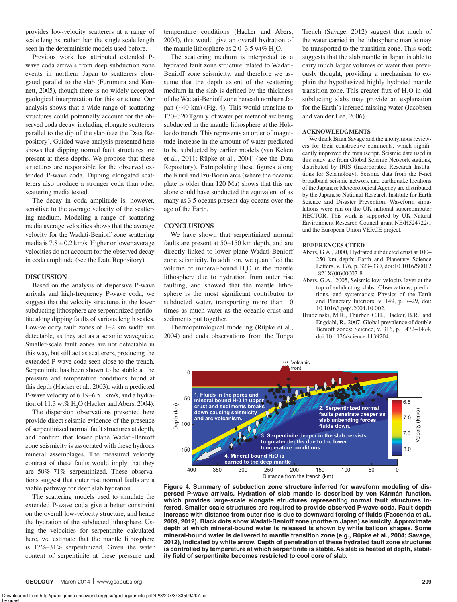provides low-velocity scatterers at a range of scale lengths, rather than the single scale length seen in the deterministic models used before.

Previous work has attributed extended Pwave coda arrivals from deep subduction zone events in northern Japan to scatterers elongated parallel to the slab (Furumura and Kennett, 2005), though there is no widely accepted geological interpretation for this structure. Our analysis shows that a wide range of scattering structures could potentially account for the observed coda decay, including elongate scatterers parallel to the dip of the slab (see the Data Repository). Guided wave analysis presented here shows that dipping normal fault structures are present at these depths. We propose that these structures are responsible for the observed extended P-wave coda. Dipping elongated scatterers also produce a stronger coda than other scattering media tested.

The decay in coda amplitude is, however, sensitive to the average velocity of the scattering medium. Modeling a range of scattering media average velocities shows that the average velocity for the Wadati-Benioff zone scattering media is  $7.8 \pm 0.2$  km/s. Higher or lower average velocities do not account for the observed decay in coda amplitude (see the Data Repository).

#### **DISCUSSION**

Based on the analysis of dispersive P-wave arrivals and high-frequency P-wave coda, we suggest that the velocity structures in the lower subducting lithosphere are serpentinized peridotite along dipping faults of various length scales. Low-velocity fault zones of 1–2 km width are detectable, as they act as a seismic waveguide. Smaller-scale fault zones are not detectable in this way, but still act as scatterers, producing the extended P-wave coda seen close to the trench. Serpentinite has been shown to be stable at the pressure and temperature conditions found at this depth (Hacker et al., 2003), with a predicted P-wave velocity of 6.19–6.51 km/s, and a hydration of 11.3 wt%  $H_2O$  (Hacker and Abers, 2004).

The dispersion observations presented here provide direct seismic evidence of the presence of serpentinized normal fault structures at depth, and confirm that lower plane Wadati-Benioff zone seismicity is associated with these hydrous mineral assemblages. The measured velocity contrast of these faults would imply that they are 50%–71% serpentinized. These observations suggest that outer rise normal faults are a viable pathway for deep slab hydration.

The scattering models used to simulate the extended P-wave coda give a better constraint on the overall low-velocity structure, and hence the hydration of the subducted lithosphere. Using the velocities for serpentinite calculated here, we estimate that the mantle lithosphere is 17%–31% serpentinized. Given the water content of serpentinite at these pressure and temperature conditions (Hacker and Abers, 2004), this would give an overall hydration of the mantle lithosphere as  $2.0-3.5$  wt%  $H_2O$ .

The scattering medium is interpreted as a hydrated fault zone structure related to Wadati-Benioff zone seismicity, and therefore we assume that the depth extent of the scattering medium in the slab is defined by the thickness of the Wadati-Benioff zone beneath northern Japan (~40 km) (Fig. 4). This would translate to 170–320 Tg/m.y. of water per meter of arc being subducted in the mantle lithosphere at the Hokkaido trench. This represents an order of magnitude increase in the amount of water predicted to be subducted by earlier models (van Keken et al., 2011; Rüpke et al., 2004) (see the Data Repository). Extrapolating these figures along the Kuril and Izu-Bonin arcs (where the oceanic plate is older than 120 Ma) shows that this arc alone could have subducted the equivalent of as many as 3.5 oceans present-day oceans over the age of the Earth.

#### **CONCLUSIONS**

We have shown that serpentinized normal faults are present at 50–150 km depth, and are directly linked to lower plane Wadati-Benioff zone seismicity. In addition, we quantified the volume of mineral-bound  $H_2O$  in the mantle lithosphere due to hydration from outer rise faulting, and showed that the mantle lithosphere is the most significant contributor to subducted water, transporting more than 10 times as much water as the oceanic crust and sediments put together.

Thermopetrological modeling (Rüpke et al., 2004) and coda observations from the Tonga Trench (Savage, 2012) suggest that much of the water carried in the lithospheric mantle may be transported to the transition zone. This work suggests that the slab mantle in Japan is able to carry much larger volumes of water than previously thought, providing a mechanism to explain the hypothesized highly hydrated mantle transition zone. This greater flux of  $H_2O$  in old subducting slabs may provide an explanation for the Earth's inferred missing water (Jacobsen and van der Lee, 2006).

#### **ACKNOWLEDGMENTS**

We thank Brian Savage and the anonymous reviewers for their constructive comments, which significantly improved the manuscript. Seismic data used in this study are from Global Seismic Network stations, distributed by IRIS (Incorporated Research Institutions for Seismology). Seismic data from the F-net broadband seismic network and earthquake locations of the Japanese Meteorological Agency are distributed by the Japanese National Research Institute for Earth Science and Disaster Prevention. Waveform simulations were run on the UK national supercomputer HECTOR. This work is supported by UK Natural Environment Research Council grant NE/H524722/1 and the European Union VERCE project.

#### **REFERENCES CITED**

- Abers, G.A., 2000, Hydrated subducted crust at 100– 250 km depth: Earth and Planetary Science Letters, v. 176, p. 323–330, doi:10.1016/S0012  $-821X(00)00007-8$ .
- Abers, G.A., 2005, Seismic low-velocity layer at the top of subducting slabs: Observations, predictions, and systematics: Physics of the Earth and Planetary Interiors, v. 149, p. 7–29, doi: 10.1016/j.pepi.2004.10.002.
- Brudzinski, M.R., Thurber, C.H., Hacker, B.R., and Engdahl, R., 2007, Global prevalence of double Benioff zones: Science, v. 316, p. 1472–1474, doi:10.1126/science.1139204.



**Figure 4. Summary of subduction zone structure inferred for waveform modeling of dispersed P-wave arrivals. Hydration of slab mantle is described by von Kármán function, which provides large-scale elongate structures representing normal fault structures inferred. Smaller scale structures are required to provide observed P-wave coda. Fault depth**  increase with distance from outer rise is due to downward forcing of fluids (Faccenda et al., **2009, 2012). Black dots show Wadati-Benioff zone (northern Japan) seismicity. Approximate depth at which mineral-bound water is released is shown by white balloon shapes. Some mineral-bound water is delivered to mantle transition zone (e.g., Rüpke et al., 2004; Savage, 2012), indicated by white arrow. Depth of penetration of these hydrated fault zone structures is controlled by temperature at which serpentinite is stable. As slab is heated at depth, stabil**ity field of serpentinite becomes restricted to cool core of slab.

Downloaded from http://pubs.geoscienceworld.org/gsa/geology/article-pdf/42/3/207/3483599/207.pdf by guest